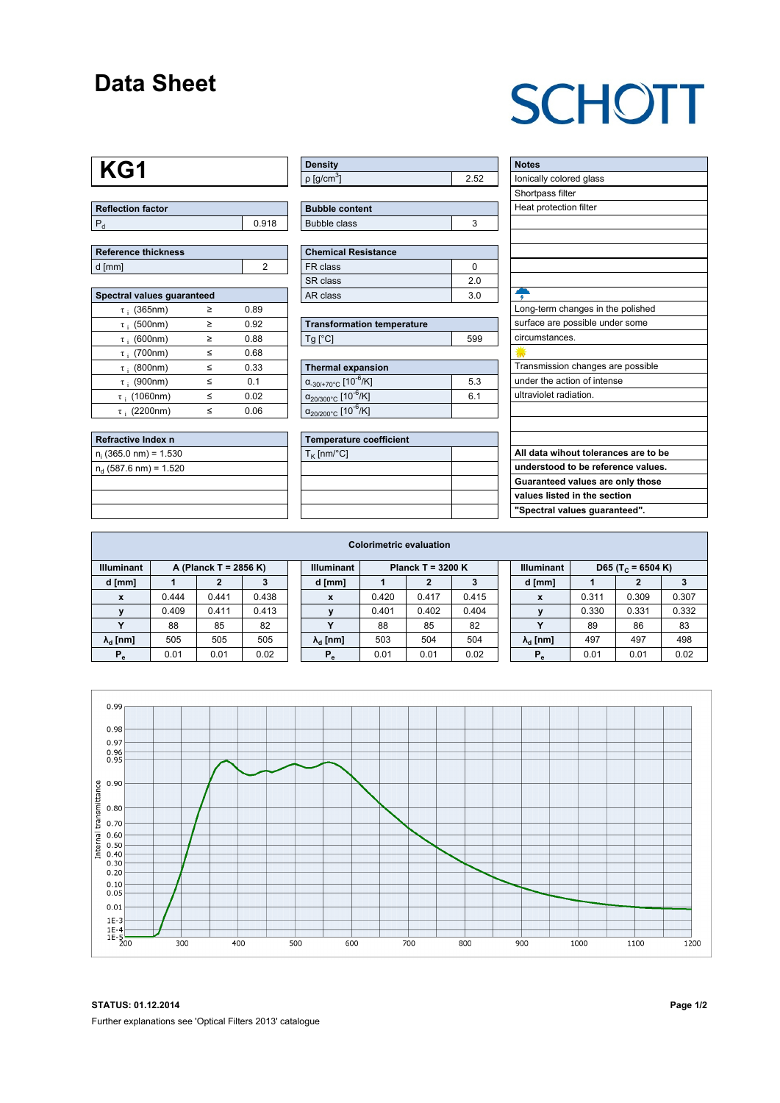#### **Data Sheet**

## **SCHOTT**

## **KG1**

| <b>Reflection factor</b> |       |  |  |  |  |  |
|--------------------------|-------|--|--|--|--|--|
|                          | 0.918 |  |  |  |  |  |

| Reference thickness |  |
|---------------------|--|
| d [mm]              |  |

| Spectral values guaranteed |   |      |  |  |  |  |  |  |  |
|----------------------------|---|------|--|--|--|--|--|--|--|
| $\tau$ ; (365nm)           | ≥ | 0.89 |  |  |  |  |  |  |  |
| $\tau$ ; (500nm)           | ≥ | 0.92 |  |  |  |  |  |  |  |
| $\tau$ ; (600nm)           | ≥ | 0.88 |  |  |  |  |  |  |  |
| $\tau$ ; (700nm)           | < | 0.68 |  |  |  |  |  |  |  |
| $\tau$ ; (800nm)           | < | 0.33 |  |  |  |  |  |  |  |
| $\tau$ : (900nm)           | ≤ | 0.1  |  |  |  |  |  |  |  |
| $\tau$ ; (1060nm)          | < | 0.02 |  |  |  |  |  |  |  |
| $\tau$ : (2200nm)          | < | 0.06 |  |  |  |  |  |  |  |

| Refractive Index n         |  |
|----------------------------|--|
| $n_i$ (365.0 nm) = 1.530   |  |
| $n_{d}$ (587.6 nm) = 1.520 |  |
|                            |  |
|                            |  |
|                            |  |

| <b>Density</b>           |     |
|--------------------------|-----|
| $p$ [g/cm <sup>3</sup> ] | ້ຮົ |

| <b>Bubble content</b> |  |
|-----------------------|--|
| Bubble class          |  |

| Chemical Resistance |                |  |  |  |  |  |  |  |
|---------------------|----------------|--|--|--|--|--|--|--|
| FR class            |                |  |  |  |  |  |  |  |
| SR class            | 20             |  |  |  |  |  |  |  |
| l AR class          | 3 <sub>0</sub> |  |  |  |  |  |  |  |

| <b>Transformation temperature</b> |     |
|-----------------------------------|-----|
| $Tg$ [ $^{\circ}$ C]              | 599 |

| Thermal expansion                                 |     |  |  |  |  |  |  |
|---------------------------------------------------|-----|--|--|--|--|--|--|
| $\alpha_{.30/+70\degree}$ C [10 <sup>-6</sup> /K] | 5.3 |  |  |  |  |  |  |
| $\alpha_{20/300^{\circ}C}$ [10 <sup>-6</sup> /K]  | 6.1 |  |  |  |  |  |  |
| $\alpha_{20/200^{\circ}C}$ [10 <sup>-6</sup> /K]  |     |  |  |  |  |  |  |

| <b>Temperature coefficient</b> |  |  |  |  |  |  |  |
|--------------------------------|--|--|--|--|--|--|--|
| $T_K$ [nm/°C]                  |  |  |  |  |  |  |  |
|                                |  |  |  |  |  |  |  |
|                                |  |  |  |  |  |  |  |
|                                |  |  |  |  |  |  |  |
|                                |  |  |  |  |  |  |  |

| <b>Notes</b>                         |
|--------------------------------------|
| lonically colored glass              |
| Shortpass filter                     |
| Heat protection filter               |
|                                      |
|                                      |
|                                      |
|                                      |
|                                      |
|                                      |
| Long-term changes in the polished    |
| surface are possible under some      |
| circumstances.                       |
|                                      |
| Transmission changes are possible    |
| under the action of intense          |
| ultraviolet radiation.               |
|                                      |
|                                      |
|                                      |
| All data wihout tolerances are to be |
| understood to be reference values.   |
| Guaranteed values are only those     |
| values listed in the section         |

**"Spectral values guaranteed".**

| <b>Colorimetric evaluation</b> |                       |       |       |  |                        |                     |       |       |  |                                                    |       |       |       |
|--------------------------------|-----------------------|-------|-------|--|------------------------|---------------------|-------|-------|--|----------------------------------------------------|-------|-------|-------|
| <b>Illuminant</b>              | A (Planck T = 2856 K) |       |       |  | <b>Illuminant</b>      | Planck T = $3200 K$ |       |       |  | <b>Illuminant</b><br>D65 (T <sub>c</sub> = 6504 K) |       |       |       |
| d [mm]                         |                       |       |       |  | d [mm]                 |                     |       |       |  | d [mm]                                             |       |       |       |
| $\mathbf{x}$                   | 0.444                 | 0.441 | 0.438 |  | X                      | 0.420               | 0.417 | 0.415 |  | X                                                  | 0.311 | 0.309 | 0.307 |
|                                | 0.409                 | 0.411 | 0.413 |  |                        | 0.401               | 0.402 | 0.404 |  |                                                    | 0.330 | 0.331 | 0.332 |
|                                | 88                    | 85    | 82    |  |                        | 88                  | 85    | 82    |  |                                                    | 89    | 86    | 83    |
| $\lambda_{\rm d}$ [nm]         | 505                   | 505   | 505   |  | $\lambda_{\rm d}$ [nm] | 503                 | 504   | 504   |  | $\lambda_{\rm d}$ [nm]                             | 497   | 497   | 498   |
| $P_e$                          | 0.01                  | 0.01  | 0.02  |  | $P_e$                  | 0.01                | 0.01  | 0.02  |  | $P_e$                                              | 0.01  | 0.01  | 0.02  |
|                                |                       |       |       |  |                        |                     |       |       |  |                                                    |       |       |       |



**STATUS: 01.12.2014 Page 1/2** Further explanations see 'Optical Filters 2013' catalogue